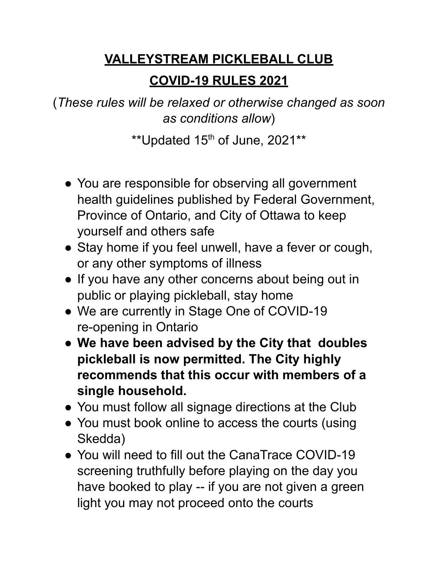## **VALLEYSTREAM PICKLEBALL CLUB**

## **COVID-19 RULES 2021**

(*These rules will be relaxed or otherwise changed as soon as conditions allow*)

\*\* Updated  $15<sup>th</sup>$  of June, 2021\*\*

- You are responsible for observing all government health guidelines published by Federal Government, Province of Ontario, and City of Ottawa to keep yourself and others safe
- Stay home if you feel unwell, have a fever or cough, or any other symptoms of illness
- If you have any other concerns about being out in public or playing pickleball, stay home
- We are currently in Stage One of COVID-19 re-opening in Ontario
- **● We have been advised by the City that doubles pickleball is now permitted. The City highly recommends that this occur with members of a single household.**
- You must follow all signage directions at the Club
- You must book online to access the courts (using Skedda)
- You will need to fill out the CanaTrace COVID-19 screening truthfully before playing on the day you have booked to play -- if you are not given a green light you may not proceed onto the courts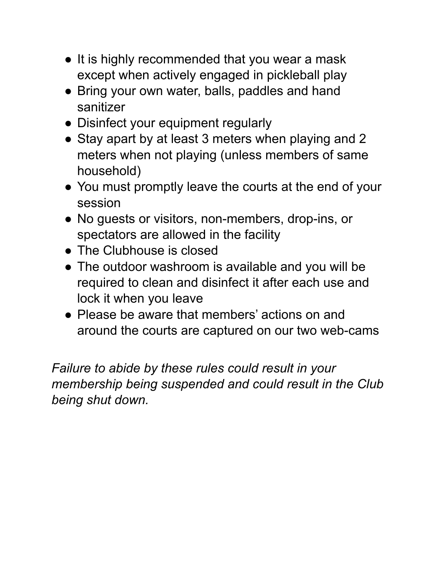- It is highly recommended that you wear a mask except when actively engaged in pickleball play
- Bring your own water, balls, paddles and hand sanitizer
- Disinfect your equipment regularly
- Stay apart by at least 3 meters when playing and 2 meters when not playing (unless members of same household)
- You must promptly leave the courts at the end of your session
- No guests or visitors, non-members, drop-ins, or spectators are allowed in the facility
- The Clubhouse is closed
- *●* The outdoor washroom is available and you will be required to clean and disinfect it after each use and lock it when you leave
- *●* Please be aware that members' actions on and around the courts are captured on our two web-cams

*Failure to abide by these rules could result in your membership being suspended and could result in the Club being shut down.*